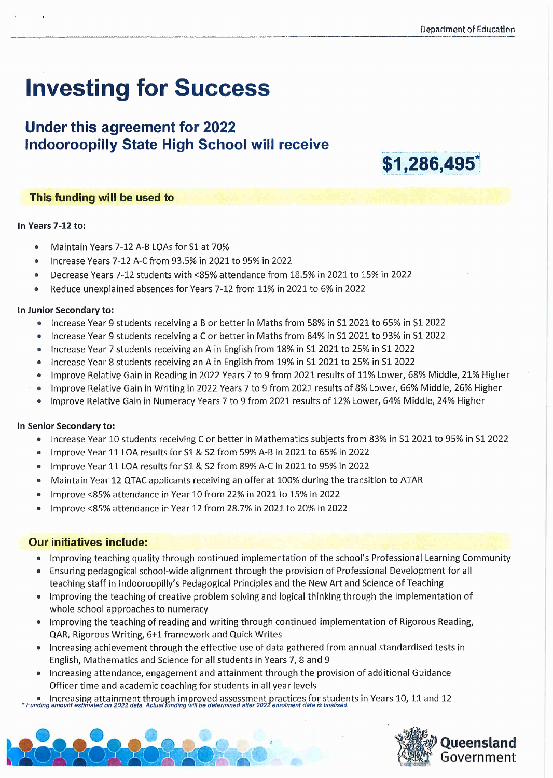# **Investing for Success**

# **Under this agreement for 2022 Indooroopilly State High School will receive**



# **This funding will be used to**

#### **In Years 7-12 to:**

- Maintain Years 7-12 A-B LOAs for SI at 70%
- <sup>a</sup> Increase Years 7-12 A-C from 93.5% in 2021 to 95% in 2022
- Decrease Years 7-12 students with <85% attendance from 18.5% in 2021 to 15% in 2022
- Reduce unexplained absences for Years 7-12 from 11% in 2021 to 6% in 2022

#### **In Junior Secondary to:**

- « Increase Year 9 students receiving <sup>a</sup> <sup>B</sup> or better in Maths from 58% in SI 2021 to 65% in SI 2022
- Increase Year 9 students receiving a C or better in Maths from 84% in S1 2021 to 93% in S1 2022
- ® Increase Year 7 students receiving an A in English from 18% in SI 2021 to 25% in SI 2022
- Increase Year 8 students receiving an A in English from 19% in S1 2021 to 25% in S1 2022
- Improve Relative Gain in Reading in 2022 Years 7 to 9 from 2021 results of 11% Lower, 68% Middle, 21% Higher
- ® Improve Relative Gain in Writing in 2022 Years 7 to 9 from 2021 results of 8% Lower, 66% Middle, 26% Higher
- Improve Relative Gain in Numeracy Years 7 to 9 from 2021 results of 12% Lower, 64% Middle, 24% Higher

#### **In Senior Secondary to:**

- Increase Year 10 students receiving <sup>C</sup> or better in Mathematics subjects from 83% in SI 2021 to 95% in SI 2022
- » Improve Year 11 LOA results for SI & S2 from 59% A-B in 2021 to 65% in 2022
- « Improve Year 11 LOA results for SI & S2 from 89% A-C in 2021 to 95% in 2022
- Maintain Year 12 QTAC applicants receiving an offer at 100% during the transition to ATAR
- Improve <85% attendance in Year 10 from 22% in 2021 to 15% in 2022
- Improve <85% attendance in Year 12 from 28.7% in 2021 to 20% in 2022

## **Our initiatives include:**

- Improving teaching quality through continued implementation of the school's Professional Learning Community
- Ensuring pedagogical school-wide alignment through the provision of Professional Development for all teaching staff in Indooroopilly's Pedagogical Principles and the New Art and Science of Teaching
- Improving the teaching of creative problem solving and logical thinking through the implementation of whole school approaches to numeracy
- Improving the teaching of reading and writing through continued implementation of Rigorous Reading, QAR, Rigorous Writing, 6+1 framework and Quick Writes
- Increasing achievement through the effective use of data gathered from annual standardised tests in English, Mathematics and Science for all students in Years 7, 8 and 9
- Increasing attendance, engagement and attainment through the provision of additional Guidance Officer time and academic coaching for students in all year levels

● Increasing attainment through improved assessment practices for students in Years 10, 11 and 12<br>Funding amount estimated on 2022 data. Actual funding will be determined after 2022 enrolment data is finalised.